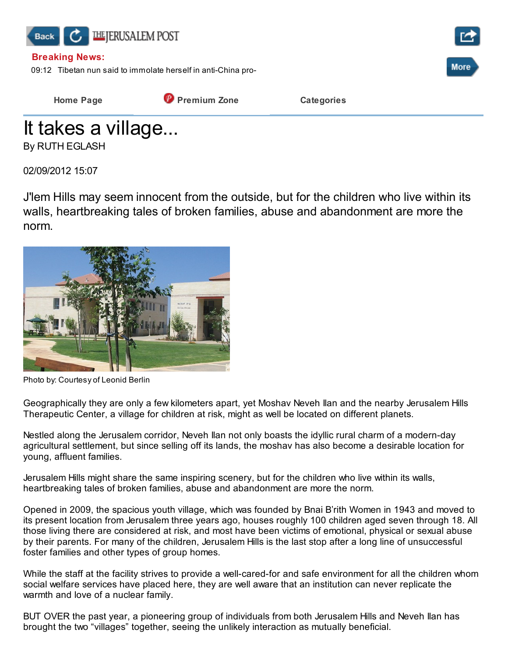

Home Page **Premium Zone** Categories

It takes a village... By RUTH EGLASH

02/09/2012 15:07

J'lem Hills may seem innocent from the outside, but for the children who live within its walls, heartbreaking tales of broken families, abuse and abandonment are more the norm.



Photo by: Courtesy of Leonid Berlin

Geographically they are only a few kilometers apart, yet Moshav Neveh Ilan and the nearby Jerusalem Hills Therapeutic Center, a village for children at risk, might as well be located on different planets.

Nestled along the Jerusalem corridor, Neveh Ilan not only boasts the idyllic rural charm of a modern-day agricultural settlement, but since selling off its lands, the moshav has also become a desirable location for young, affluent families.

Jerusalem Hills might share the same inspiring scenery, but for the children who live within its walls, heartbreaking tales of broken families, abuse and abandonment are more the norm.

Opened in 2009, the spacious youth village, which was founded by Bnai B'rith Women in 1943 and moved to its present location from Jerusalem three years ago, houses roughly 100 children aged seven through 18. All those living there are considered at risk, and most have been victims of emotional, physical or sexual abuse by their parents. For many of the children, Jerusalem Hills is the last stop after a long line of unsuccessful foster families and other types of group homes.

While the staff at the facility strives to provide a well-cared-for and safe environment for all the children whom social welfare services have placed here, they are well aware that an institution can never replicate the warmth and love of a nuclear family.

BUT OVER the past year, a pioneering group of individuals from both Jerusalem Hills and Neveh Ilan has brought the two "villages" together, seeing the unlikely interaction as mutually beneficial.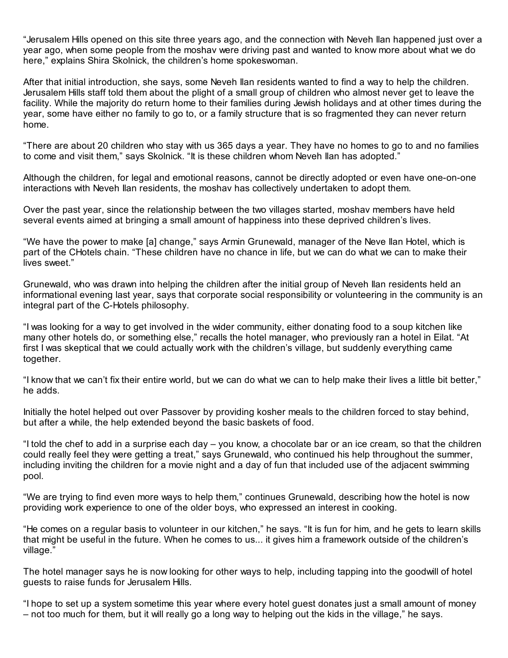"Jerusalem Hills opened on this site three years ago, and the connection with Neveh Ilan happened just over a year ago, when some people from the moshav were driving past and wanted to know more about what we do here," explains Shira Skolnick, the children's home spokeswoman.

After that initial introduction, she says, some Neveh Ilan residents wanted to find a way to help the children. Jerusalem Hills staff told them about the plight of a small group of children who almost never get to leave the facility. While the majority do return home to their families during Jewish holidays and at other times during the year, some have either no family to go to, or a family structure that is so fragmented they can never return home.

"There are about 20 children who stay with us 365 days a year. They have no homes to go to and no families to come and visit them," says Skolnick. "It is these children whom Neveh Ilan has adopted."

Although the children, for legal and emotional reasons, cannot be directly adopted or even have one-on-one interactions with Neveh Ilan residents, the moshav has collectively undertaken to adopt them.

Over the past year, since the relationship between the two villages started, moshav members have held several events aimed at bringing a small amount of happiness into these deprived children's lives.

"We have the power to make [a] change," says Armin Grunewald, manager of the Neve Ilan Hotel, which is part of the CHotels chain. "These children have no chance in life, but we can do what we can to make their lives sweet."

Grunewald, who was drawn into helping the children after the initial group of Neveh Ilan residents held an informational evening last year, says that corporate social responsibility or volunteering in the community is an integral part of the C-Hotels philosophy.

"I was looking for a way to get involved in the wider community, either donating food to a soup kitchen like many other hotels do, or something else," recalls the hotel manager, who previously ran a hotel in Eilat. "At first I was skeptical that we could actually work with the children's village, but suddenly everything came together.

"I know that we can't fix their entire world, but we can do what we can to help make their lives a little bit better," he adds.

Initially the hotel helped out over Passover by providing kosher meals to the children forced to stay behind, but after a while, the help extended beyond the basic baskets of food.

"I told the chef to add in a surprise each day – you know, a chocolate bar or an ice cream, so that the children could really feel they were getting a treat," says Grunewald, who continued his help throughout the summer, including inviting the children for a movie night and a day of fun that included use of the adjacent swimming pool.

"We are trying to find even more ways to help them," continues Grunewald, describing how the hotel is now providing work experience to one of the older boys, who expressed an interest in cooking.

"He comes on a regular basis to volunteer in our kitchen," he says. "It is fun for him, and he gets to learn skills that might be useful in the future. When he comes to us... it gives him a framework outside of the children's village."

The hotel manager says he is now looking for other ways to help, including tapping into the goodwill of hotel guests to raise funds for Jerusalem Hills.

"I hope to set up a system sometime this year where every hotel guest donates just a small amount of money – not too much for them, but it will really go a long way to helping out the kids in the village," he says.